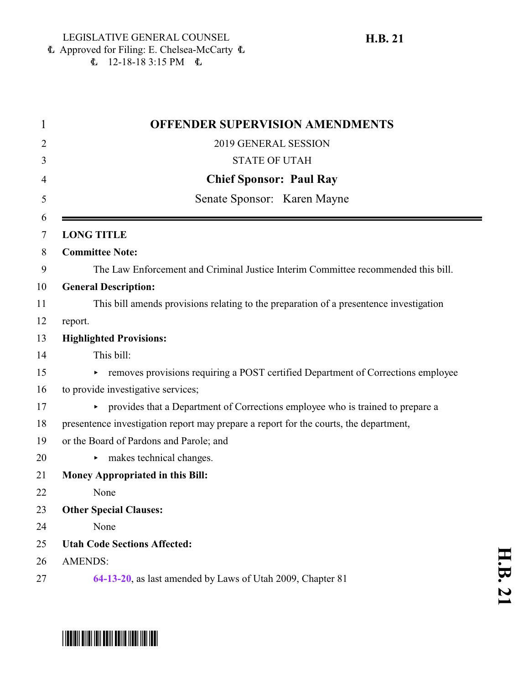Approved for Filing: E. Chelsea-McCarty 6  $\mathbf{L}$  12-18-18 3:15 PM  $\mathbf{L}$ 

| <b>OFFENDER SUPERVISION AMENDMENTS</b>                                                 |
|----------------------------------------------------------------------------------------|
| 2019 GENERAL SESSION                                                                   |
| <b>STATE OF UTAH</b>                                                                   |
| <b>Chief Sponsor: Paul Ray</b>                                                         |
| Senate Sponsor: Karen Mayne                                                            |
| <b>LONG TITLE</b>                                                                      |
| <b>Committee Note:</b>                                                                 |
| The Law Enforcement and Criminal Justice Interim Committee recommended this bill.      |
| <b>General Description:</b>                                                            |
| This bill amends provisions relating to the preparation of a presentence investigation |
| report.                                                                                |
| <b>Highlighted Provisions:</b>                                                         |
| This bill:                                                                             |
| removes provisions requiring a POST certified Department of Corrections employee       |
| to provide investigative services;                                                     |
| • provides that a Department of Corrections employee who is trained to prepare a       |
| presentence investigation report may prepare a report for the courts, the department,  |
| or the Board of Pardons and Parole; and                                                |
| makes technical changes.<br>►                                                          |
| <b>Money Appropriated in this Bill:</b>                                                |
| None                                                                                   |
| <b>Other Special Clauses:</b>                                                          |
| None                                                                                   |
| <b>Utah Code Sections Affected:</b>                                                    |
| <b>AMENDS:</b>                                                                         |
| 64-13-20, as last amended by Laws of Utah 2009, Chapter 81                             |

## **H.B.**

# \*HB0021\*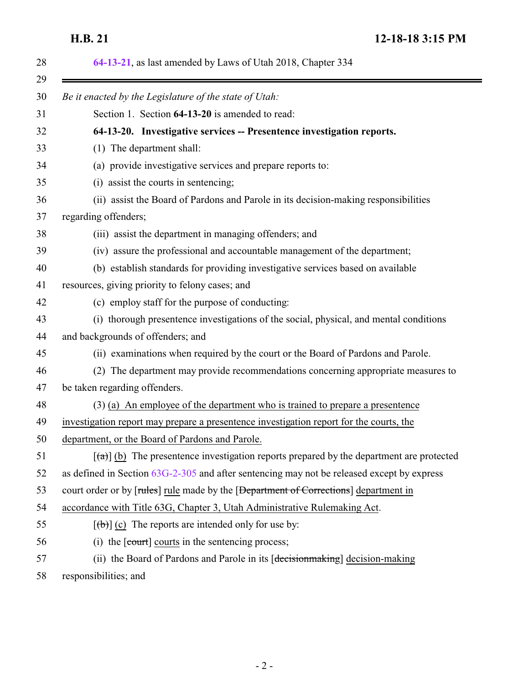<span id="page-1-0"></span>**H.B. 21 12-18-18 3:15 PM**

| 64-13-21, as last amended by Laws of Utah 2018, Chapter 334                                                   |
|---------------------------------------------------------------------------------------------------------------|
| Be it enacted by the Legislature of the state of Utah:                                                        |
| Section 1. Section 64-13-20 is amended to read:                                                               |
| 64-13-20. Investigative services -- Presentence investigation reports.                                        |
| (1) The department shall:                                                                                     |
| (a) provide investigative services and prepare reports to:                                                    |
| (i) assist the courts in sentencing;                                                                          |
| (ii) assist the Board of Pardons and Parole in its decision-making responsibilities                           |
| regarding offenders;                                                                                          |
| (iii) assist the department in managing offenders; and                                                        |
| (iv) assure the professional and accountable management of the department;                                    |
| (b) establish standards for providing investigative services based on available                               |
| resources, giving priority to felony cases; and                                                               |
| (c) employ staff for the purpose of conducting:                                                               |
| (i) thorough presentence investigations of the social, physical, and mental conditions                        |
| and backgrounds of offenders; and                                                                             |
| (ii) examinations when required by the court or the Board of Pardons and Parole.                              |
| (2) The department may provide recommendations concerning appropriate measures to                             |
| be taken regarding offenders.                                                                                 |
| $(3)$ (a) An employee of the department who is trained to prepare a presentence                               |
| investigation report may prepare a presentence investigation report for the courts, the                       |
| department, or the Board of Pardons and Parole.                                                               |
| $\left[\frac{1}{2}\right]$ (b) The presentence investigation reports prepared by the department are protected |
| as defined in Section $63G-2-305$ and after sentencing may not be released except by express                  |
| court order or by [rules] rule made by the [Department of Corrections] department in                          |
| accordance with Title 63G, Chapter 3, Utah Administrative Rulemaking Act.                                     |
| $[\theta$ ) (c) The reports are intended only for use by:                                                     |
| (i) the $[count]$ courts in the sentencing process;                                                           |
| (ii) the Board of Pardons and Parole in its [decision making] decision-making                                 |
| responsibilities; and                                                                                         |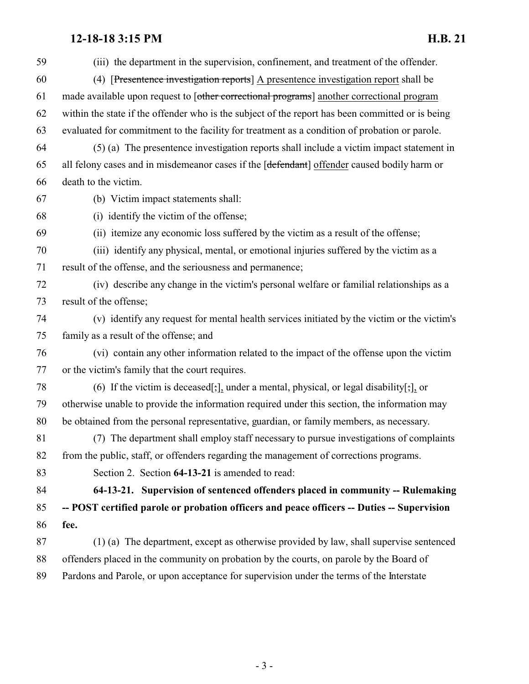## **12-18-18 3:15 PM H.B. 21**

<span id="page-2-0"></span>

| 59 | (iii) the department in the supervision, confinement, and treatment of the offender.             |
|----|--------------------------------------------------------------------------------------------------|
| 60 | (4) [Presentence investigation reports] A presentence investigation report shall be              |
| 61 | made available upon request to [other correctional programs] another correctional program        |
| 62 | within the state if the offender who is the subject of the report has been committed or is being |
| 63 | evaluated for commitment to the facility for treatment as a condition of probation or parole.    |
| 64 | (5) (a) The presentence investigation reports shall include a victim impact statement in         |
| 65 | all felony cases and in misdemeanor cases if the [defendant] offender caused bodily harm or      |
| 66 | death to the victim.                                                                             |
| 67 | (b) Victim impact statements shall:                                                              |
| 68 | (i) identify the victim of the offense;                                                          |
| 69 | (ii) itemize any economic loss suffered by the victim as a result of the offense;                |
| 70 | (iii) identify any physical, mental, or emotional injuries suffered by the victim as a           |
| 71 | result of the offense, and the seriousness and permanence;                                       |
| 72 | (iv) describe any change in the victim's personal welfare or familial relationships as a         |
| 73 | result of the offense;                                                                           |
| 74 | (v) identify any request for mental health services initiated by the victim or the victim's      |
| 75 | family as a result of the offense; and                                                           |
| 76 | (vi) contain any other information related to the impact of the offense upon the victim          |
| 77 | or the victim's family that the court requires.                                                  |
| 78 | (6) If the victim is deceased[;], under a mental, physical, or legal disability[;], or           |
| 79 | otherwise unable to provide the information required under this section, the information may     |
| 80 | be obtained from the personal representative, guardian, or family members, as necessary.         |
| 81 | (7) The department shall employ staff necessary to pursue investigations of complaints           |
| 82 | from the public, staff, or offenders regarding the management of corrections programs.           |
| 83 | Section 2. Section 64-13-21 is amended to read:                                                  |
| 84 | 64-13-21. Supervision of sentenced offenders placed in community -- Rulemaking                   |
| 85 | -- POST certified parole or probation officers and peace officers -- Duties -- Supervision       |
| 86 | fee.                                                                                             |
| 87 | (1) (a) The department, except as otherwise provided by law, shall supervise sentenced           |
| 88 | offenders placed in the community on probation by the courts, on parole by the Board of          |
| 89 | Pardons and Parole, or upon acceptance for supervision under the terms of the Interstate         |
|    |                                                                                                  |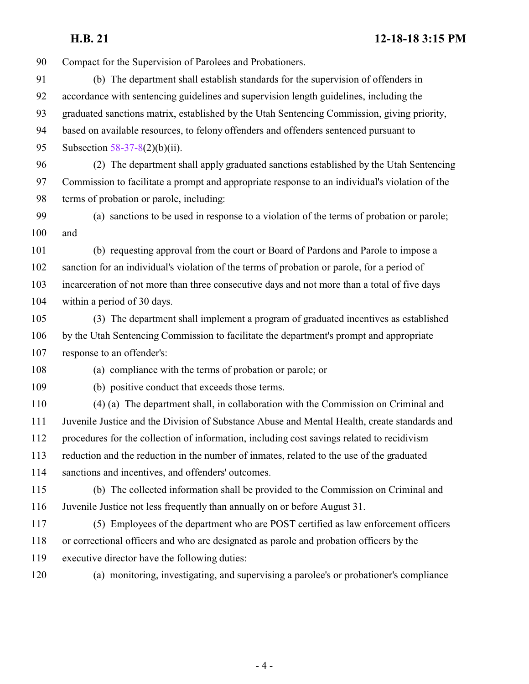**H.B. 21 12-18-18 3:15 PM**

 Compact for the Supervision of Parolees and Probationers. (b) The department shall establish standards for the supervision of offenders in accordance with sentencing guidelines and supervision length guidelines, including the graduated sanctions matrix, established by the Utah Sentencing Commission, giving priority, based on available resources, to felony offenders and offenders sentenced pursuant to Subsection [58-37-8](http://le.utah.gov/UtahCode/SectionLookup.jsp?section=58-37-8&session=2019GS)(2)(b)(ii). (2) The department shall apply graduated sanctions established by the Utah Sentencing Commission to facilitate a prompt and appropriate response to an individual's violation of the terms of probation or parole, including: (a) sanctions to be used in response to a violation of the terms of probation or parole; and (b) requesting approval from the court or Board of Pardons and Parole to impose a sanction for an individual's violation of the terms of probation or parole, for a period of incarceration of not more than three consecutive days and not more than a total of five days within a period of 30 days. (3) The department shall implement a program of graduated incentives as established by the Utah Sentencing Commission to facilitate the department's prompt and appropriate response to an offender's: (a) compliance with the terms of probation or parole; or (b) positive conduct that exceeds those terms. (4) (a) The department shall, in collaboration with the Commission on Criminal and Juvenile Justice and the Division of Substance Abuse and Mental Health, create standards and procedures for the collection of information, including cost savings related to recidivism reduction and the reduction in the number of inmates, related to the use of the graduated sanctions and incentives, and offenders' outcomes. (b) The collected information shall be provided to the Commission on Criminal and Juvenile Justice not less frequently than annually on or before August 31. (5) Employees of the department who are POST certified as law enforcement officers or correctional officers and who are designated as parole and probation officers by the executive director have the following duties: (a) monitoring, investigating, and supervising a parolee's or probationer's compliance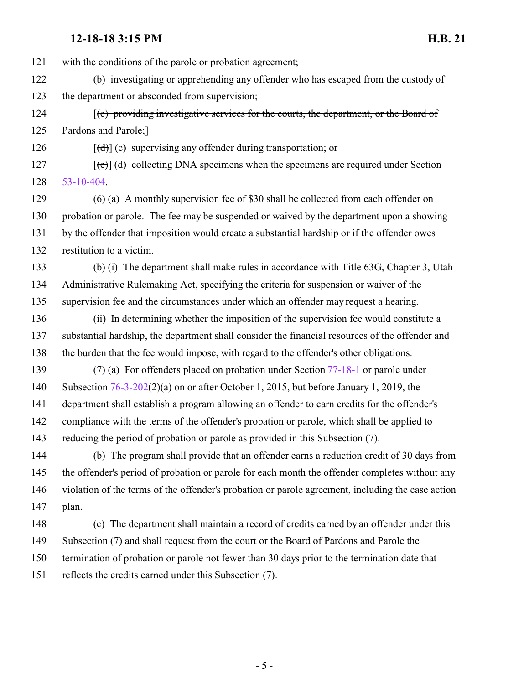### **12-18-18 3:15 PM H.B. 21**

with the conditions of the parole or probation agreement;

- (b) investigating or apprehending any offender who has escaped from the custody of the department or absconded from supervision;
- 124 [(c) providing investigative services for the courts, the department, or the Board of 125 Pardons and Parole;

126  $[(d)]$  (c) supervising any offender during transportation; or

127  $[(e)]$  (d) collecting DNA specimens when the specimens are required under Section [53-10-404](http://le.utah.gov/UtahCode/SectionLookup.jsp?section=53-10-404&session=2019GS).

 (6) (a) A monthly supervision fee of \$30 shall be collected from each offender on probation or parole. The fee may be suspended or waived by the department upon a showing by the offender that imposition would create a substantial hardship or if the offender owes restitution to a victim.

 (b) (i) The department shall make rules in accordance with Title 63G, Chapter 3, Utah Administrative Rulemaking Act, specifying the criteria for suspension or waiver of the supervision fee and the circumstances under which an offender may request a hearing.

- (ii) In determining whether the imposition of the supervision fee would constitute a substantial hardship, the department shall consider the financial resources of the offender and the burden that the fee would impose, with regard to the offender's other obligations.
- (7) (a) For offenders placed on probation under Section [77-18-1](http://le.utah.gov/UtahCode/SectionLookup.jsp?section=77-18-1&session=2019GS) or parole under Subsection [76-3-202](http://le.utah.gov/UtahCode/SectionLookup.jsp?section=76-3-202&session=2019GS)(2)(a) on or after October 1, 2015, but before January 1, 2019, the department shall establish a program allowing an offender to earn credits for the offender's compliance with the terms of the offender's probation or parole, which shall be applied to reducing the period of probation or parole as provided in this Subsection (7).

 (b) The program shall provide that an offender earns a reduction credit of 30 days from the offender's period of probation or parole for each month the offender completes without any violation of the terms of the offender's probation or parole agreement, including the case action plan.

 (c) The department shall maintain a record of credits earned by an offender under this Subsection (7) and shall request from the court or the Board of Pardons and Parole the termination of probation or parole not fewer than 30 days prior to the termination date that reflects the credits earned under this Subsection (7).